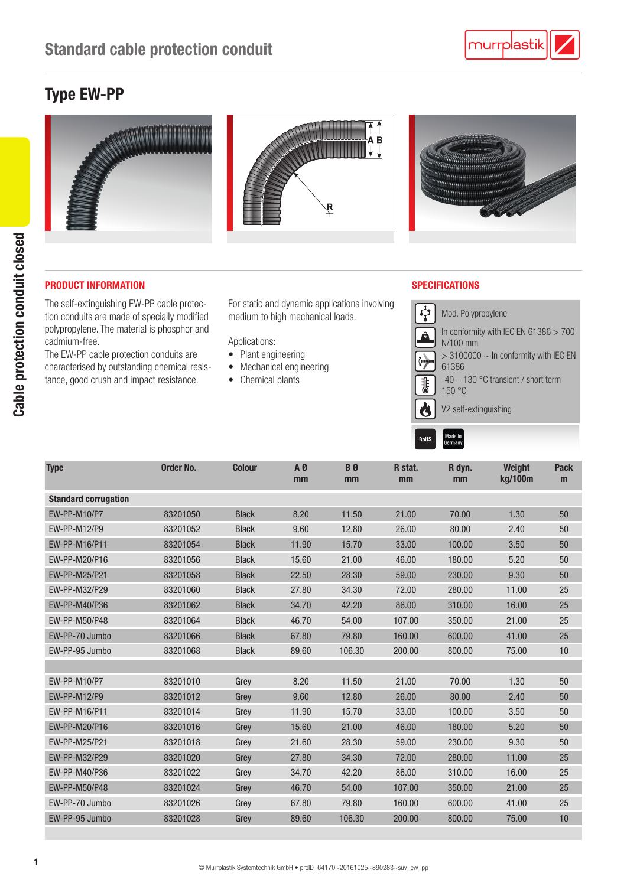## Type EW-PP



## PRODUCT INFORMATION SPECIFICATIONS

The self-extinguishing EW-PP cable protection conduits are made of specially modified polypropylene. The material is phosphor and cadmium-free.

The EW-PP cable protection conduits are characterised by outstanding chemical resistance, good crush and impact resistance.

For static and dynamic applications involving medium to high mechanical loads.

Applications:

- Plant engineering
- Mechanical engineering
- Chemical plants

Made in<br>Sermany

**RAHS** 



| <b>Type</b>                 | <b>Order No.</b> | <b>Colour</b> | AØ<br>mm | B <sub>0</sub><br>mm | R stat.<br>mm | R dyn.<br>mm | Weight<br>kg/100m | <b>Pack</b><br>m |
|-----------------------------|------------------|---------------|----------|----------------------|---------------|--------------|-------------------|------------------|
| <b>Standard corrugation</b> |                  |               |          |                      |               |              |                   |                  |
| <b>EW-PP-M10/P7</b>         | 83201050         | <b>Black</b>  | 8.20     | 11.50                | 21.00         | 70.00        | 1.30              | 50               |
| EW-PP-M12/P9                | 83201052         | <b>Black</b>  | 9.60     | 12.80                | 26.00         | 80.00        | 2.40              | 50               |
| EW-PP-M16/P11               | 83201054         | <b>Black</b>  | 11.90    | 15.70                | 33.00         | 100.00       | 3.50              | 50               |
| EW-PP-M20/P16               | 83201056         | <b>Black</b>  | 15.60    | 21.00                | 46.00         | 180.00       | 5.20              | 50               |
| EW-PP-M25/P21               | 83201058         | <b>Black</b>  | 22.50    | 28.30                | 59.00         | 230.00       | 9.30              | 50               |
| EW-PP-M32/P29               | 83201060         | <b>Black</b>  | 27.80    | 34.30                | 72.00         | 280.00       | 11.00             | 25               |
| EW-PP-M40/P36               | 83201062         | <b>Black</b>  | 34.70    | 42.20                | 86.00         | 310.00       | 16.00             | 25               |
| EW-PP-M50/P48               | 83201064         | <b>Black</b>  | 46.70    | 54.00                | 107.00        | 350.00       | 21.00             | 25               |
| EW-PP-70 Jumbo              | 83201066         | <b>Black</b>  | 67.80    | 79.80                | 160.00        | 600.00       | 41.00             | 25               |
| EW-PP-95 Jumbo              | 83201068         | <b>Black</b>  | 89.60    | 106.30               | 200.00        | 800.00       | 75.00             | 10               |
|                             |                  |               |          |                      |               |              |                   |                  |
| EW-PP-M10/P7                | 83201010         | Grey          | 8.20     | 11.50                | 21.00         | 70.00        | 1.30              | 50               |
| <b>EW-PP-M12/P9</b>         | 83201012         | Grey          | 9.60     | 12.80                | 26.00         | 80.00        | 2.40              | 50               |
| EW-PP-M16/P11               | 83201014         | Grey          | 11.90    | 15.70                | 33.00         | 100.00       | 3.50              | 50               |
| EW-PP-M20/P16               | 83201016         | Grey          | 15.60    | 21.00                | 46.00         | 180.00       | 5.20              | 50               |
| EW-PP-M25/P21               | 83201018         | Grey          | 21.60    | 28.30                | 59.00         | 230.00       | 9.30              | 50               |
| EW-PP-M32/P29               | 83201020         | Grey          | 27.80    | 34.30                | 72.00         | 280.00       | 11.00             | 25               |
| EW-PP-M40/P36               | 83201022         | Grey          | 34.70    | 42.20                | 86.00         | 310.00       | 16.00             | 25               |
| EW-PP-M50/P48               | 83201024         | Grey          | 46.70    | 54.00                | 107.00        | 350.00       | 21.00             | 25               |
| EW-PP-70 Jumbo              | 83201026         | Grey          | 67.80    | 79.80                | 160.00        | 600.00       | 41.00             | 25               |
| EW-PP-95 Jumbo              | 83201028         | Grey          | 89.60    | 106.30               | 200.00        | 800.00       | 75.00             | 10               |